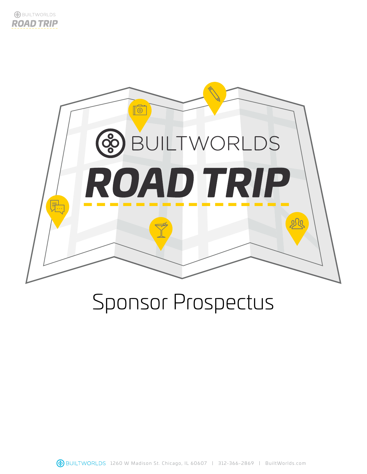



# Sponsor Prospectus

**48** BUILTWORLDS 1260 W Madison St. Chicago, IL 60607 | 312-366-2869 | BuiltWorlds.com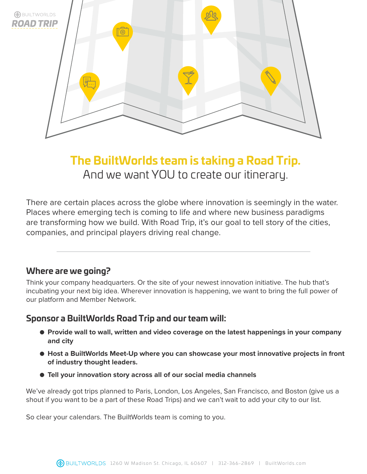

## **The BuiltWorlds team is taking a Road Trip.** And we want YOU to create our itinerary.

There are certain places across the globe where innovation is seemingly in the water. Places where emerging tech is coming to life and where new business paradigms are transforming how we build. With Road Trip, it's our goal to tell story of the cities, companies, and principal players driving real change.

## **Where are we going?**

Think your company headquarters. Or the site of your newest innovation initiative. The hub that's incubating your next big idea. Wherever innovation is happening, we want to bring the full power of our platform and Member Network.

## **Sponsor a BuiltWorlds Road Trip and our team will:**

- **● Provide wall to wall, written and video coverage on the latest happenings in your company and city**
- Host a BuiltWorlds Meet-Up where you can showcase your most innovative projects in front **of industry thought leaders.**
- **● Tell your innovation story across all of our social media channels**

We've already got trips planned to Paris, London, Los Angeles, San Francisco, and Boston (give us a shout if you want to be a part of these Road Trips) and we can't wait to add your city to our list.

So clear your calendars. The BuiltWorlds team is coming to you.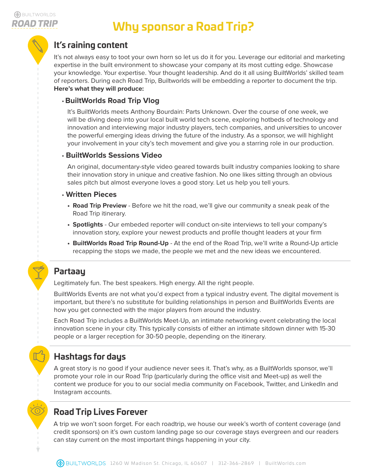## **Why sponsor a Road Trip?**

## **It's raining content**

It's not always easy to toot your own horn so let us do it for you. Leverage our editorial and marketing expertise in the built environment to showcase your company at its most cutting edge. Showcase your knowledge. Your expertise. Your thought leadership. And do it all using BuiltWorlds' skilled team of reporters. During each Road Trip, Builtworlds will be embedding a reporter to document the trip. **Here's what they will produce:**

#### • **BuiltWorlds Road Trip Vlog**

It's BuiltWorlds meets Anthony Bourdain: Parts Unknown. Over the course of one week, we will be diving deep into your local built world tech scene, exploring hotbeds of technology and innovation and interviewing major industry players, tech companies, and universities to uncover the powerful emerging ideas driving the future of the industry. As a sponsor, we will highlight your involvement in your city's tech movement and give you a starring role in our production.

#### • **BuiltWorlds Sessions Video**

An original, documentary-style video geared towards built industry companies looking to share their innovation story in unique and creative fashion. No one likes sitting through an obvious sales pitch but almost everyone loves a good story. Let us help you tell yours.

#### • **Written Pieces**

- **• Road Trip Preview** Before we hit the road, we'll give our community a sneak peak of the Road Trip itinerary.
- **• Spotlights** Our embeded reporter will conduct on-site interviews to tell your company's innovation story, explore your newest products and profile thought leaders at your firm
- **• BuiltWorlds Road Trip Round-Up**  At the end of the Road Trip, we'll write a Round-Up article recapping the stops we made, the people we met and the new ideas we encountered.

## **Partaay**

Legitimately fun. The best speakers. High energy. All the right people.

BuiltWorlds Events are not what you'd expect from a typical industry event. The digital movement is important, but there's no substitute for building relationships in person and BuiltWorlds Events are how you get connected with the major players from around the industry.

Each Road Trip includes a BuiltWorlds Meet-Up, an intimate networking event celebrating the local innovation scene in your city. This typically consists of either an intimate sitdown dinner with 15-30 people or a larger reception for 30-50 people, depending on the itinerary.

## **Hashtags for days**

A great story is no good if your audience never sees it. That's why, as a BuiltWorlds sponsor, we'll promote your role in our Road Trip (particularly during the office visit and Meet-up) as well the content we produce for you to our social media community on Facebook, Twitter, and LinkedIn and Instagram accounts.

## **Road Trip Lives Forever**

A trip we won't soon forget. For each roadtrip, we house our week's worth of content coverage (and credit sponsors) on it's own custom landing page so our coverage stays evergreen and our readers can stay current on the most important things happening in your city.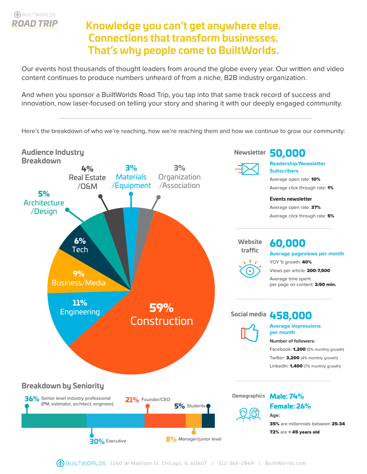## **Knowledge you can't get anywhere else. Connections that transform businesses. That's why people come to BuiltWorlds.**

Our events host thousands of thought leaders from around the globe every year. Our written and video content continues to produce numbers unheard of from a niche, B2B industry organization.

And when you sponsor a BuiltWorlds Road Trip, you tap into that same track record of success and innovation, now laser-focused on telling your story and sharing it with our deeply engaged community.

Here's the breakdown of who we're reaching, how we're reaching them and how we continue to grow our community:

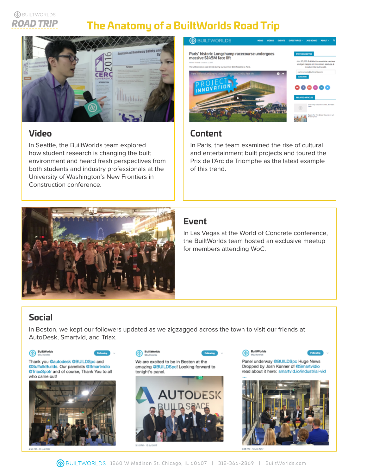#### **A**BUILTWORLDS **ROAD TRIP**

## **The Anatomy of a BuiltWorlds Road Trip**



## **Video**

In Seattle, the BuiltWorlds team explored how student research is changing the built environment and heard fresh perspectives from both students and industry professionals at the University of Washington's New Frontiers in Construction conference.



## **Content**

In Paris, the team examined the rise of cultural and entertainment built projects and toured the Prix de l'Arc de Triomphe as the latest example of this trend.



## **Event**

In Las Vegas at the World of Concrete conference, the BuiltWorlds team hosted an exclusive meetup for members attending WoC.

## **Social**

In Boston, we kept our followers updated as we zigzagged across the town to visit our friends at AutoDesk, Smartvid, and Triax.

BuiltWorlds

 $\circledast$ 



Thank you @autodesk @BUILDSpc and @SuffolkBuilds. Our panelists @Smartvidio @TriaxSpotr and of course, Thank You to all who came out!









Panel underway @BUILDSpc Huge News Dropped by Josh Kanner of @Smartvidio read about it here: smartvid.io/industrial-vid